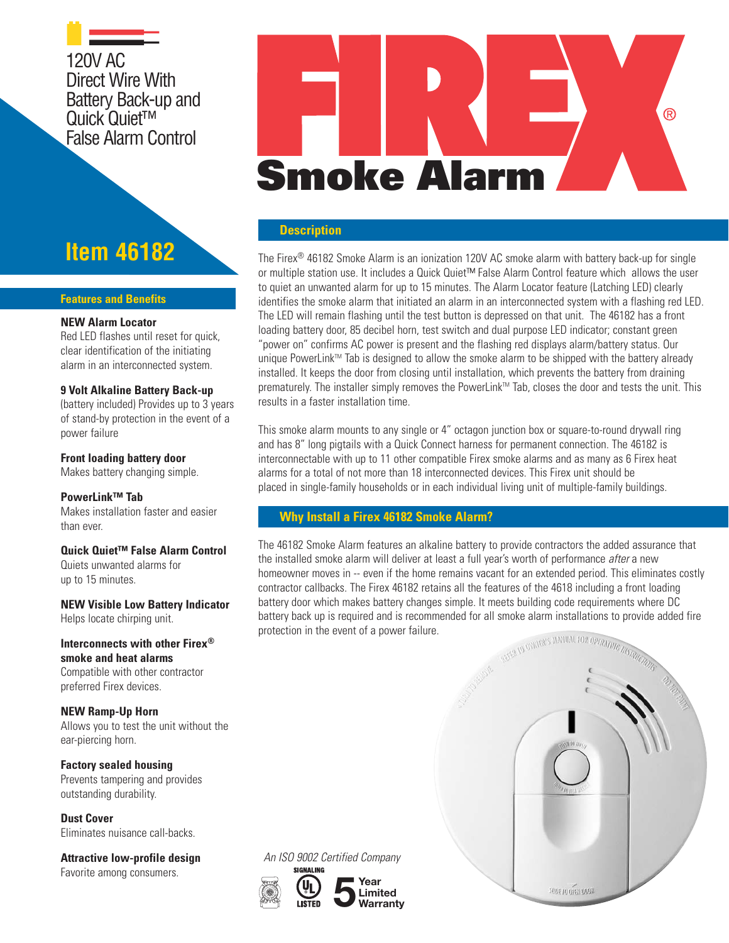120V AC Direct Wire With Battery Back-up and Quick Quiet<sup>™</sup> False Alarm Control

**Item 46182**

#### **Features and Benefits**

### **NEW Alarm Locator**

Red LED flashes until reset for quick. clear identification of the initiating alarm in an interconnected system.

#### **9 Volt Alkaline Battery Back-up**

(battery included) Provides up to 3 years of stand-by protection in the event of a power failure

#### **Front loading battery door**

Makes battery changing simple.

#### **PowerLink™ Tab**

Makes installation faster and easier than ever.

# **Quick Quiet™ False Alarm Control**

Quiets unwanted alarms for up to 15 minutes.

**NEW Visible Low Battery Indicator** Helps locate chirping unit.

**Interconnects with other Firex® smoke and heat alarms** Compatible with other contractor

preferred Firex devices.

**NEW Ramp-Up Horn** Allows you to test the unit without the ear-piercing horn.

**Factory sealed housing** Prevents tampering and provides outstanding durability.

**Dust Cover** Eliminates nuisance call-backs.

**Attractive low-profile design** Favorite among consumers.

# **Smoke Alarm**

®

#### **Description**

The Firex® 46182 Smoke Alarm is an ionization 120V AC smoke alarm with battery back-up for single or multiple station use. It includes a Quick Quiet™ False Alarm Control feature which allows the user to quiet an unwanted alarm for up to 15 minutes. The Alarm Locator feature (Latching LED) clearly identifies the smoke alarm that initiated an alarm in an interconnected system with a flashing red LED. The LED will remain flashing until the test button is depressed on that unit. The 46182 has a front loading battery door, 85 decibel horn, test switch and dual purpose LED indicator; constant green "power on" confirms AC power is present and the flashing red displays alarm/battery status. Our unique PowerLink™ Tab is designed to allow the smoke alarm to be shipped with the battery already installed. It keeps the door from closing until installation, which prevents the battery from draining prematurely. The installer simply removes the PowerLink™ Tab, closes the door and tests the unit. This results in a faster installation time.

This smoke alarm mounts to any single or 4" octagon junction box or square-to-round drywall ring and has 8" long pigtails with a Quick Connect harness for permanent connection. The 46182 is interconnectable with up to 11 other compatible Firex smoke alarms and as many as 6 Firex heat alarms for a total of not more than 18 interconnected devices. This Firex unit should be placed in single-family households or in each individual living unit of multiple-family buildings.

# **Why Install a Firex 46182 Smoke Alarm?**

The 46182 Smoke Alarm features an alkaline battery to provide contractors the added assurance that the installed smoke alarm will deliver at least a full year's worth of performance *after* a new homeowner moves in -- even if the home remains vacant for an extended period. This eliminates costly contractor callbacks. The Firex 46182 retains all the features of the 4618 including a front loading battery door which makes battery changes simple. It meets building code requirements where DC battery back up is required and is recommended for all smoke alarm installations to provide added fire protection in the event of a power failure. ASSA TO DYNER'S MANUAL FOR OPERATING

*SUDE TO OPEN UDDS* 

SICNAL INC  $\sim$  $\mathcal{L}$ **<sup>S</sup>TAT<sup>E</sup> <sup>F</sup>IR<sup>E</sup> <sup>M</sup>ARSHA<sup>L</sup>**  $\mathcal{S}$  .  $\infty$ 

**5 Year Limited Warranty**

An ISO 9002 Certified Company